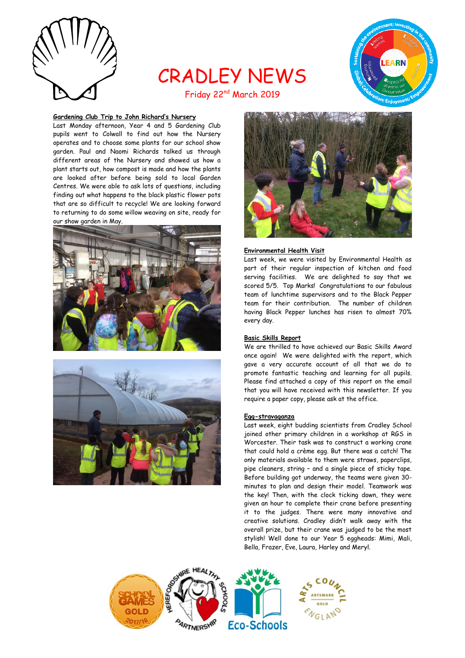

# CRADLEY NEWS Friday 22nd March 2019



# **Gardening Club Trip to John Richard's Nursery**

Last Monday afternoon, Year 4 and 5 Gardening Club pupils went to Colwall to find out how the Nursery operates and to choose some plants for our school show garden. Paul and Naomi Richards talked us through different areas of the Nursery and showed us how a plant starts out, how compost is made and how the plants are looked after before being sold to local Garden Centres. We were able to ask lots of questions, including finding out what happens to the black plastic flower pots that are so difficult to recycle! We are looking forward to returning to do some willow weaving on site, ready for our show garden in May.







#### **Environmental Health Visit**

Last week, we were visited by Environmental Health as part of their regular inspection of kitchen and food serving facilities. We are delighted to say that we scored 5/5. Top Marks! Congratulations to our fabulous team of lunchtime supervisors and to the Black Pepper team for their contribution. The number of children having Black Pepper lunches has risen to almost 70% every day.

## **Basic Skills Report**

We are thrilled to have achieved our Basic Skills Award once again! We were delighted with the report, which gave a very accurate account of all that we do to promote fantastic teaching and learning for all pupils. Please find attached a copy of this report on the email that you will have received with this newsletter. If you require a paper copy, please ask at the office.

#### **Egg-stravaganza**

Last week, eight budding scientists from Cradley School joined other primary children in a workshop at RGS in Worcester. Their task was to construct a working crane that could hold a crème egg. But there was a catch! The only materials available to them were straws, paperclips, pipe cleaners, string – and a single piece of sticky tape. Before building got underway, the teams were given 30 minutes to plan and design their model. Teamwork was the key! Then, with the clock ticking down, they were given an hour to complete their crane before presenting it to the judges. There were many innovative and creative solutions. Cradley didn't walk away with the overall prize, but their crane was judged to be the most stylish! Well done to our Year 5 eggheads: Mimi, Mali, Bella, Frazer, Eve, Laura, Harley and Meryl.

![](_page_0_Picture_14.jpeg)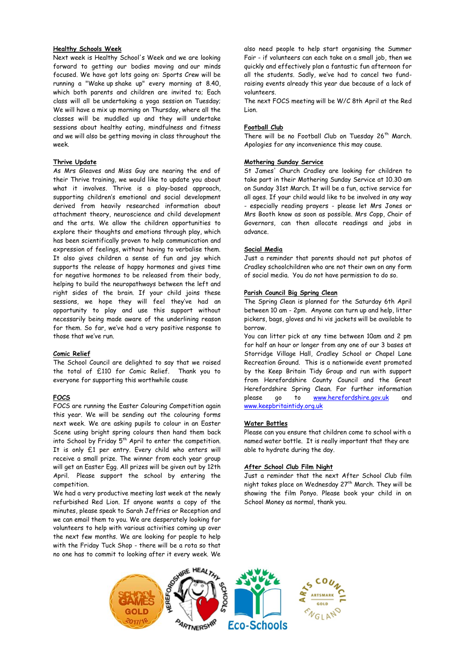# **Healthy Schools Week**

Next week is Healthy School's Week and we are looking forward to getting our bodies moving and our minds focused. We have got lots going on: Sports Crew will be running a "Wake up shake up" every morning at 8.40, which both parents and children are invited to; Each class will all be undertaking a yoga session on Tuesday; We will have a mix up morning on Thursday, where all the classes will be muddled up and they will undertake sessions about healthy eating, mindfulness and fitness and we will also be getting moving in class throughout the week.

# **Thrive Update**

As Mrs Gleaves and Miss Guy are nearing the end of their Thrive training, we would like to update you about what it involves. Thrive is a play-based approach, supporting children's emotional and social development derived from heavily researched information about attachment theory, neuroscience and child development and the arts. We allow the children opportunities to explore their thoughts and emotions through play, which has been scientifically proven to help communication and expression of feelings, without having to verbalise them. It also gives children a sense of fun and joy which supports the release of happy hormones and gives time for negative hormones to be released from their body, helping to build the neuropathways between the left and right sides of the brain. If your child joins these sessions, we hope they will feel they've had an opportunity to play and use this support without necessarily being made aware of the underlining reason for them. So far, we've had a very positive response to those that we've run.

#### **Comic Relief**

The School Council are delighted to say that we raised the total of £110 for Comic Relief. Thank you to everyone for supporting this worthwhile cause

# **FOCS**

FOCS are running the Easter Colouring Competition again this year. We will be sending out the colouring forms next week. We are asking pupils to colour in an Easter Scene using bright spring colours then hand them back into School by Friday  $5<sup>th</sup>$  April to enter the competition. It is only £1 per entry. Every child who enters will receive a small prize. The winner from each year group will get an Easter Egg. All prizes will be given out by 12th April. Please support the school by entering the competition.

We had a very productive meeting last week at the newly refurbished Red Lion. If anyone wants a copy of the minutes, please speak to Sarah Jeffries or Reception and we can email them to you. We are desperately looking for volunteers to help with various activities coming up over the next few months. We are looking for people to help with the Friday Tuck Shop - there will be a rota so that no one has to commit to looking after it every week. We

also need people to help start organising the Summer Fair - if volunteers can each take on a small job, then we quickly and effectively plan a fantastic fun afternoon for all the students. Sadly, we've had to cancel two fundraising events already this year due because of a lack of volunteers.

The next FOCS meeting will be W/C 8th April at the Red Lion.

#### **Football Club**

There will be no Football Club on Tuesday 26<sup>th</sup> March. Apologies for any inconvenience this may cause.

#### **Mothering Sunday Service**

St James' Church Cradley are looking for children to take part in their Mothering Sunday Service at 10.30 am on Sunday 31st March. It will be a fun, active service for all ages. If your child would like to be involved in any way - especially reading prayers - please let Mrs Jones or Mrs Booth know as soon as possible. Mrs Copp, Chair of Governors, can then allocate readings and jobs in advance.

#### **Social Media**

Just a reminder that parents should not put photos of Cradley schoolchildren who are not their own on any form of social media. You do not have permission to do so.

# **Parish Council Big Spring Clean**

The Spring Clean is planned for the Saturday 6th April between 10 am - 2pm. Anyone can turn up and help, litter pickers, bags, gloves and hi vis jackets will be available to borrow.

You can litter pick at any time between 10am and 2 pm for half an hour or longer from any one of our 3 bases at Storridge Village Hall, Cradley School or Chapel Lane Recreation Ground. This is a nationwide event promoted by the Keep Britain Tidy Group and run with support from Herefordshire County Council and the Great Herefordshire Spring Clean. For further information please go to [www.herefordshire.gov.uk](http://www.herefordshire.gov.uk/) and [www.keepbritaintidy.org.uk](http://www.keepbritaintidy.org.uk/)

#### **Water Bottles**

Please can you ensure that children come to school with a named water bottle. It is really important that they are able to hydrate during the day.

#### **After School Club Film Night**

Just a reminder that the next After School Club film night takes place on Wednesday  $27<sup>th</sup>$  March. They will be showing the film Ponyo. Please book your child in on School Money as normal, thank you.

![](_page_1_Picture_24.jpeg)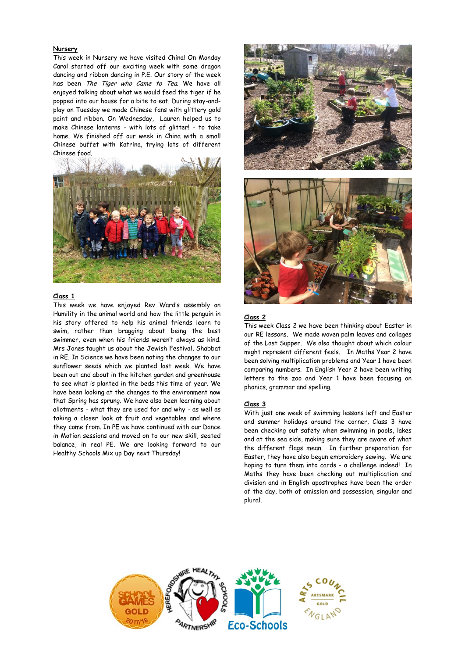# **Nursery**

This week in Nursery we have visited China! On Monday Carol started off our exciting week with some dragon dancing and ribbon dancing in P.E. Our story of the week has been The Tiger who Came to Tea. We have all enjoyed talking about what we would feed the tiger if he popped into our house for a bite to eat. During stay-andplay on Tuesday we made Chinese fans with glittery gold paint and ribbon. On Wednesday, Lauren helped us to make Chinese lanterns - with lots of glitter! - to take home. We finished off our week in China with a small Chinese buffet with Katrina, trying lots of different Chinese food.

![](_page_2_Picture_2.jpeg)

# **Class 1**

This week we have enjoyed Rev Ward's assembly on Humility in the animal world and how the little penguin in his story offered to help his animal friends learn to swim, rather than bragging about being the best swimmer, even when his friends weren't always as kind. Mrs Jones taught us about the Jewish Festival, Shabbat in RE. In Science we have been noting the changes to our sunflower seeds which we planted last week. We have been out and about in the kitchen garden and greenhouse to see what is planted in the beds this time of year. We have been looking at the changes to the environment now that Spring has sprung. We have also been learning about allotments - what they are used for and why - as well as taking a closer look at fruit and vegetables and where they come from. In PE we have continued with our Dance in Motion sessions and moved on to our new skill, seated balance, in real PE. We are looking forward to our Healthy Schools Mix up Day next Thursday!

![](_page_2_Picture_5.jpeg)

#### **Class 2**

This week Class 2 we have been thinking about Easter in our RE lessons. We made woven palm leaves and collages of the Last Supper. We also thought about which colour might represent different feels. In Maths Year 2 have been solving multiplication problems and Year 1 have been comparing numbers. In English Year 2 have been writing letters to the zoo and Year 1 have been focusing on phonics, grammar and spelling.

#### **Class 3**

With just one week of swimming lessons left and Easter and summer holidays around the corner, Class 3 have been checking out safety when swimming in pools, lakes and at the sea side, making sure they are aware of what the different flags mean. In further preparation for Easter, they have also begun embroidery sewing. We are hoping to turn them into cards - a challenge indeed! In Maths they have been checking out multiplication and division and in English apostrophes have been the order of the day, both of omission and possession, singular and plural.

![](_page_2_Picture_10.jpeg)